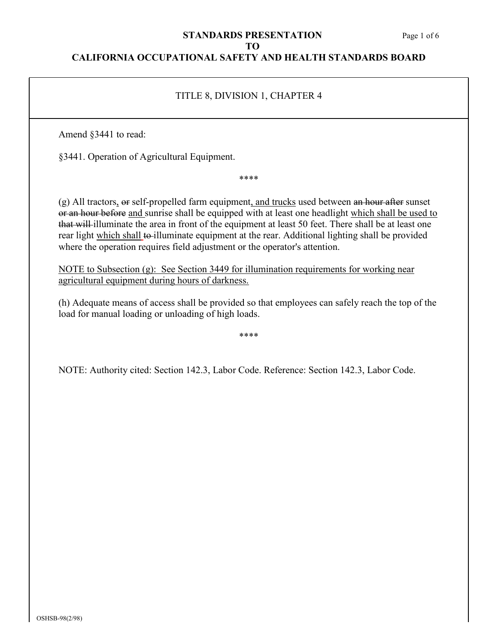#### Page 1 of 6

#### **STANDARDS PRESENTATION TO**

## **CALIFORNIA OCCUPATIONAL SAFETY AND HEALTH STANDARDS BOARD**

# TITLE 8, DIVISION 1, CHAPTER 4

Amend §3441 to read:

§3441. Operation of Agricultural Equipment.

\*\*\*\*

(g) All tractors, or self-propelled farm equipment, and trucks used between an hour after sunset or an hour before and sunrise shall be equipped with at least one headlight which shall be used to that will illuminate the area in front of the equipment at least 50 feet. There shall be at least one rear light which shall to illuminate equipment at the rear. Additional lighting shall be provided where the operation requires field adjustment or the operator's attention.

NOTE to Subsection (g): See Section 3449 for illumination requirements for working near agricultural equipment during hours of darkness.

(h) Adequate means of access shall be provided so that employees can safely reach the top of the load for manual loading or unloading of high loads.

\*\*\*\*

NOTE: Authority cited: Section 142.3, Labor Code. Reference: Section 142.3, Labor Code.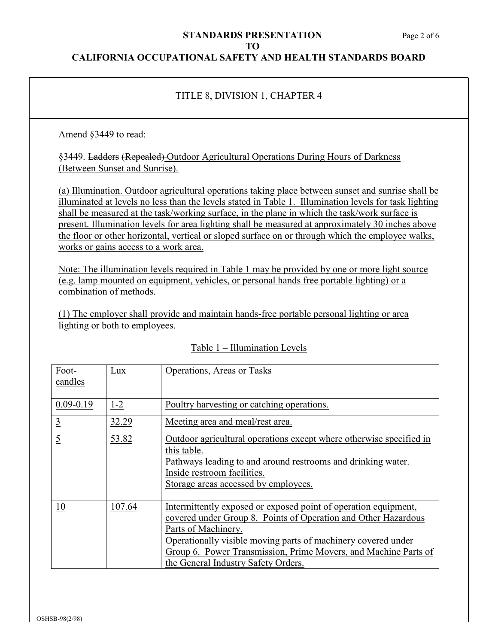# **STANDARDS PRESENTATION** Page 2 of 6 **TO**

### **CALIFORNIA OCCUPATIONAL SAFETY AND HEALTH STANDARDS BOARD**

# TITLE 8, DIVISION 1, CHAPTER 4

Amend §3449 to read:

§3449. Ladders (Repealed) Outdoor Agricultural Operations During Hours of Darkness (Between Sunset and Sunrise).

(a) Illumination. Outdoor agricultural operations taking place between sunset and sunrise shall be illuminated at levels no less than the levels stated in Table 1. Illumination levels for task lighting shall be measured at the task/working surface, in the plane in which the task/work surface is present. Illumination levels for area lighting shall be measured at approximately 30 inches above the floor or other horizontal, vertical or sloped surface on or through which the employee walks, works or gains access to a work area.

Note: The illumination levels required in Table 1 may be provided by one or more light source (e.g. lamp mounted on equipment, vehicles, or personal hands free portable lighting) or a combination of methods.

(1) The employer shall provide and maintain hands-free portable personal lighting or area lighting or both to employees.

| Foot-<br>candles | Lux     | Operations, Areas or Tasks                                                                                                                                                                                                                                                                                                          |
|------------------|---------|-------------------------------------------------------------------------------------------------------------------------------------------------------------------------------------------------------------------------------------------------------------------------------------------------------------------------------------|
| $0.09 - 0.19$    | $1 - 2$ | Poultry harvesting or catching operations.                                                                                                                                                                                                                                                                                          |
| $\overline{3}$   | 32.29   | Meeting area and meal/rest area.                                                                                                                                                                                                                                                                                                    |
| $\overline{5}$   | 53.82   | Outdoor agricultural operations except where otherwise specified in<br>this table.<br>Pathways leading to and around restrooms and drinking water.<br>Inside restroom facilities.<br>Storage areas accessed by employees.                                                                                                           |
| 10               | 107.64  | Intermittently exposed or exposed point of operation equipment,<br>covered under Group 8. Points of Operation and Other Hazardous<br>Parts of Machinery.<br>Operationally visible moving parts of machinery covered under<br>Group 6. Power Transmission, Prime Movers, and Machine Parts of<br>the General Industry Safety Orders. |

#### Table 1 – Illumination Levels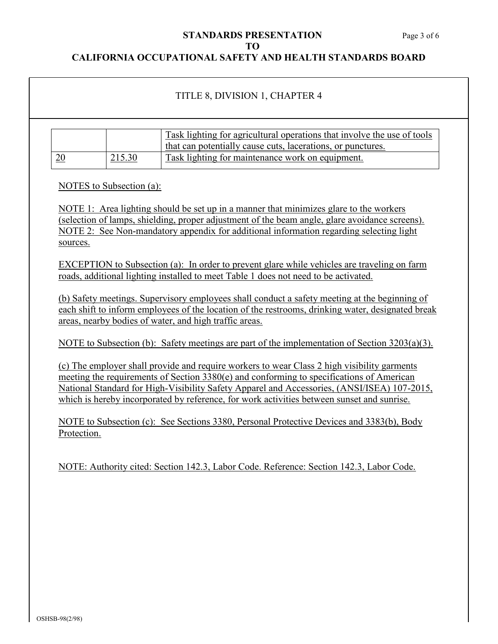# **STANDARDS PRESENTATION** Page 3 of 6 **TO**

## **CALIFORNIA OCCUPATIONAL SAFETY AND HEALTH STANDARDS BOARD**

# TITLE 8, DIVISION 1, CHAPTER 4

|    |        | Task lighting for agricultural operations that involve the use of tools |
|----|--------|-------------------------------------------------------------------------|
|    |        | that can potentially cause cuts, lacerations, or punctures.             |
| 20 | 215.30 | Task lighting for maintenance work on equipment.                        |

NOTES to Subsection (a):

NOTE 1: Area lighting should be set up in a manner that minimizes glare to the workers (selection of lamps, shielding, proper adjustment of the beam angle, glare avoidance screens). NOTE 2: See Non-mandatory appendix for additional information regarding selecting light sources.

EXCEPTION to Subsection (a): In order to prevent glare while vehicles are traveling on farm roads, additional lighting installed to meet Table 1 does not need to be activated.

(b) Safety meetings. Supervisory employees shall conduct a safety meeting at the beginning of each shift to inform employees of the location of the restrooms, drinking water, designated break areas, nearby bodies of water, and high traffic areas.

NOTE to Subsection (b): Safety meetings are part of the implementation of Section 3203(a)(3).

(c) The employer shall provide and require workers to wear Class 2 high visibility garments meeting the requirements of Section 3380(e) and conforming to specifications of American National Standard for High-Visibility Safety Apparel and Accessories, (ANSI/ISEA) 107-2015, which is hereby incorporated by reference, for work activities between sunset and sunrise.

NOTE to Subsection (c): See Sections 3380, Personal Protective Devices and 3383(b), Body Protection.

NOTE: Authority cited: Section 142.3, Labor Code. Reference: Section 142.3, Labor Code.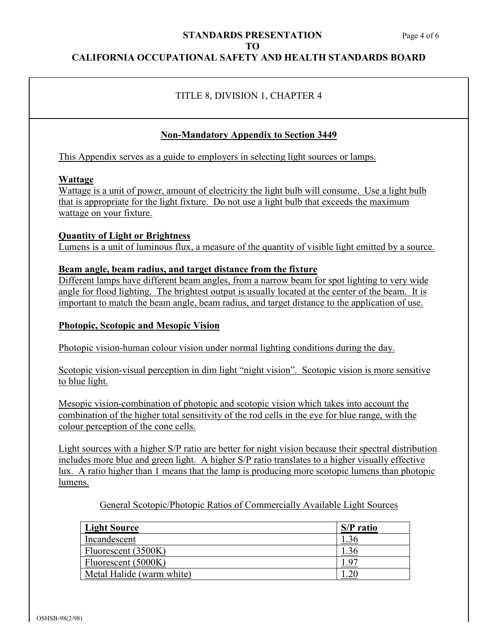## **CALIFORNIA OCCUPATIONAL SAFETY AND HEALTH STANDARDS BOARD**

# TITLE 8, DIVISION 1, CHAPTER 4

## **Non-Mandatory Appendix to Section 3449**

This Appendix serves as a guide to employers in selecting light sources or lamps.

#### **Wattage**

Wattage is a unit of power, amount of electricity the light bulb will consume. Use a light bulb that is appropriate for the light fixture. Do not use a light bulb that exceeds the maximum wattage on your fixture.

#### **Quantity of Light or Brightness**

Lumens is a unit of luminous flux, a measure of the quantity of visible light emitted by a source.

#### **Beam angle, beam radius, and target distance from the fixture**

Different lamps have different beam angles, from a narrow beam for spot lighting to very wide angle for flood lighting. The brightest output is usually located at the center of the beam. It is important to match the beam angle, beam radius, and target distance to the application of use.

#### **Photopic, Scotopic and Mesopic Vision**

Photopic vision-human colour vision under normal lighting conditions during the day.

Scotopic vision-visual perception in dim light "night vision". Scotopic vision is more sensitive to blue light.

Mesopic vision-combination of photopic and scotopic vision which takes into account the combination of the higher total sensitivity of the rod cells in the eye for blue range, with the colour perception of the cone cells.

Light sources with a higher S/P ratio are better for night vision because their spectral distribution includes more blue and green light. A higher S/P ratio translates to a higher visually effective lux. A ratio higher than 1 means that the lamp is producing more scotopic lumens than photopic lumens.

General Scotopic/Photopic Ratios of Commercially Available Light Sources

| Light Source              | S/P ratio |
|---------------------------|-----------|
| Incandescent              |           |
| Fluorescent (3500K)       |           |
| Fluorescent (5000K)       |           |
| Metal Halide (warm white) |           |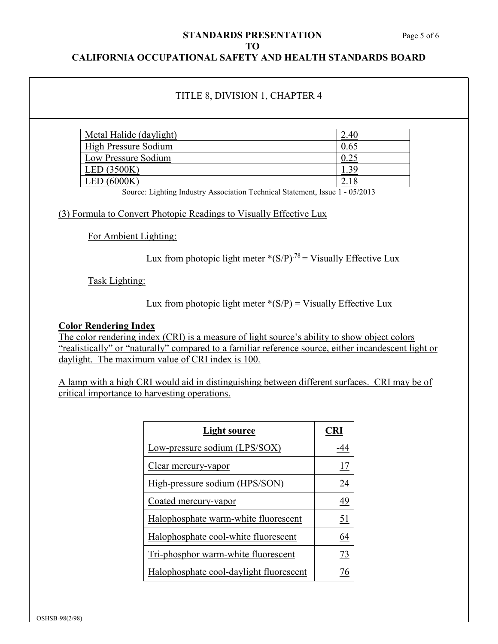#### **STANDARDS PRESENTATION** Page 5 of 6 **TO CALIFORNIA OCCUPATIONAL SAFETY AND HEALTH STANDARDS BOARD**

# TITLE 8, DIVISION 1, CHAPTER 4

| Metal Halide (daylight)                                                      | 2.4L |
|------------------------------------------------------------------------------|------|
| <b>High Pressure Sodium</b>                                                  | 0.65 |
| Low Pressure Sodium                                                          |      |
| LED(3500K)                                                                   |      |
| LED $(6000K)$                                                                | 2.18 |
| Source: Lighting Industry Association Technical Statement, Issue 1 - 05/2013 |      |

(3) Formula to Convert Photopic Readings to Visually Effective Lux

For Ambient Lighting:

Lux from photopic light meter  $*(S/P)^{.78} =$  Visually Effective Lux

Task Lighting:

## Lux from photopic light meter  $*(S/P) =$  Visually Effective Lux

## **Color Rendering Index**

The [color rendering index](https://en.wikipedia.org/wiki/Color_rendering_index) (CRI) is a measure of light source's ability to show object colors "realistically" or "naturally" compared to a familiar reference source, either incandescent light or daylight. The maximum value of CRI index is 100.

A lamp with a high CRI would aid in distinguishing between different surfaces. CRI may be of critical importance to harvesting operations.

| Light source                            |    |
|-----------------------------------------|----|
| Low-pressure sodium (LPS/SOX)           |    |
| Clear mercury-vapor                     | 17 |
| High-pressure sodium (HPS/SON)          | 24 |
| Coated mercury-vapor                    | 49 |
| Halophosphate warm-white fluorescent    | 51 |
| Halophosphate cool-white fluorescent    | 64 |
| Tri-phosphor warm-white fluorescent     | 73 |
| Halophosphate cool-daylight fluorescent |    |